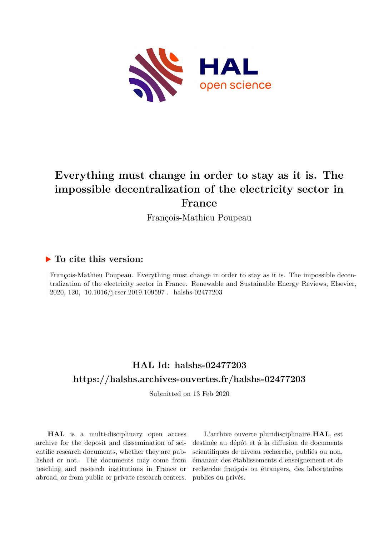

# **Everything must change in order to stay as it is. The impossible decentralization of the electricity sector in France**

François-Mathieu Poupeau

# **To cite this version:**

François-Mathieu Poupeau. Everything must change in order to stay as it is. The impossible decentralization of the electricity sector in France. Renewable and Sustainable Energy Reviews, Elsevier, 2020, 120, 10.1016/j.rser.2019.109597. halshs-02477203

# **HAL Id: halshs-02477203 <https://halshs.archives-ouvertes.fr/halshs-02477203>**

Submitted on 13 Feb 2020

**HAL** is a multi-disciplinary open access archive for the deposit and dissemination of scientific research documents, whether they are published or not. The documents may come from teaching and research institutions in France or abroad, or from public or private research centers.

L'archive ouverte pluridisciplinaire **HAL**, est destinée au dépôt et à la diffusion de documents scientifiques de niveau recherche, publiés ou non, émanant des établissements d'enseignement et de recherche français ou étrangers, des laboratoires publics ou privés.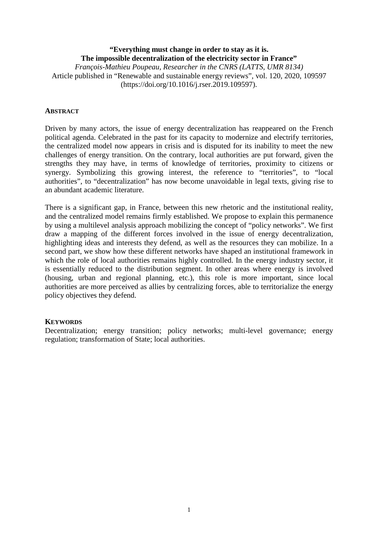# **"Everything must change in order to stay as it is. The impossible decentralization of the electricity sector in France"**

*François-Mathieu Poupeau, Researcher in the CNRS (LATTS, UMR 8134)*  Article published in "Renewable and sustainable energy reviews", vol. 120, 2020, 109597 (https://doi.org/10.1016/j.rser.2019.109597).

#### **ABSTRACT**

Driven by many actors, the issue of energy decentralization has reappeared on the French political agenda. Celebrated in the past for its capacity to modernize and electrify territories, the centralized model now appears in crisis and is disputed for its inability to meet the new challenges of energy transition. On the contrary, local authorities are put forward, given the strengths they may have, in terms of knowledge of territories, proximity to citizens or synergy. Symbolizing this growing interest, the reference to "territories", to "local authorities", to "decentralization" has now become unavoidable in legal texts, giving rise to an abundant academic literature.

There is a significant gap, in France, between this new rhetoric and the institutional reality, and the centralized model remains firmly established. We propose to explain this permanence by using a multilevel analysis approach mobilizing the concept of "policy networks". We first draw a mapping of the different forces involved in the issue of energy decentralization, highlighting ideas and interests they defend, as well as the resources they can mobilize. In a second part, we show how these different networks have shaped an institutional framework in which the role of local authorities remains highly controlled. In the energy industry sector, it is essentially reduced to the distribution segment. In other areas where energy is involved (housing, urban and regional planning, etc.), this role is more important, since local authorities are more perceived as allies by centralizing forces, able to territorialize the energy policy objectives they defend.

# **KEYWORDS**

Decentralization; energy transition; policy networks; multi-level governance; energy regulation; transformation of State; local authorities.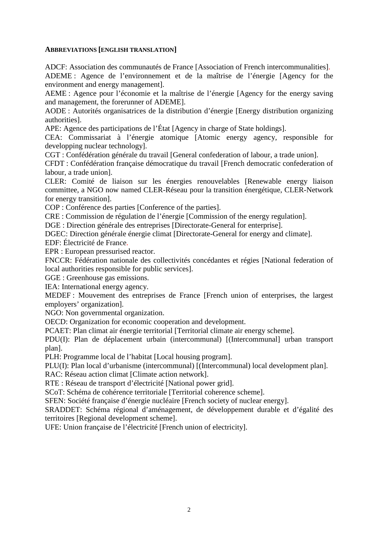#### **ABBREVIATIONS [ENGLISH TRANSLATION]**

ADCF: Association des communautés de France [Association of French intercommunalities].

ADEME : Agence de l'environnement et de la maîtrise de l'énergie [Agency for the environment and energy management].

AEME : Agence pour l'économie et la maîtrise de l'énergie [Agency for the energy saving and management, the forerunner of ADEME].

AODE : Autorités organisatrices de la distribution d'énergie [Energy distribution organizing authorities].

APE: Agence des participations de l'État [Agency in charge of State holdings].

CEA: Commissariat à l'énergie atomique [Atomic energy agency, responsible for developping nuclear technology].

CGT : Confédération générale du travail [General confederation of labour, a trade union].

CFDT : Confédération française démocratique du travail [French democratic confederation of labour, a trade union].

CLER: Comité de liaison sur les énergies renouvelables [Renewable energy liaison committee, a NGO now named CLER-Réseau pour la transition énergétique, CLER-Network for energy transition].

COP : Conférence des parties [Conference of the parties].

CRE : Commission de régulation de l'énergie [Commission of the energy regulation].

DGE : Direction générale des entreprises [Directorate-General for enterprise].

DGEC: Direction générale énergie climat [Directorate-General for energy and climate].

EDF: Électricité de France.

EPR : European pressurised reactor.

FNCCR: Fédération nationale des collectivités concédantes et régies [National federation of local authorities responsible for public services].

GGE : Greenhouse gas emissions.

IEA: International energy agency.

MEDEF : Mouvement des entreprises de France [French union of enterprises, the largest employers' organization].

NGO: Non governmental organization.

OECD: Organization for economic cooperation and development.

PCAET: Plan climat air énergie territorial [Territorial climate air energy scheme].

PDU(I): Plan de déplacement urbain (intercommunal) [(Intercommunal] urban transport plan].

PLH: Programme local de l'habitat [Local housing program].

PLU(I): Plan local d'urbanisme (intercommunal) [(Intercommunal) local development plan].

RAC: Réseau action climat [Climate action network].

RTE : Réseau de transport d'électricité [National power grid].

SCoT: Schéma de cohérence territoriale [Territorial coherence scheme].

SFEN: Société française d'énergie nucléaire [French society of nuclear energy].

SRADDET: Schéma régional d'aménagement, de développement durable et d'égalité des territoires [Regional development scheme].

UFE: Union française de l'électricité [French union of electricity].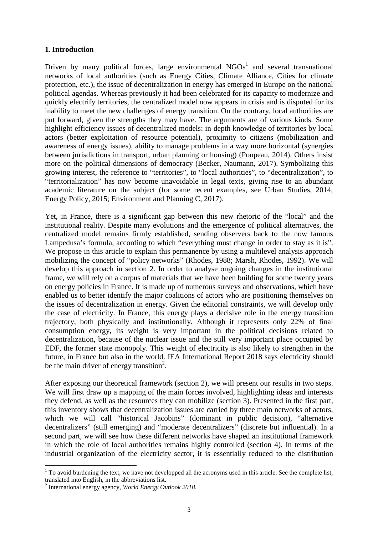### **1. Introduction**

Driven by many political forces, large environmental  $NGOs<sup>1</sup>$  and several transnational networks of local authorities (such as Energy Cities, Climate Alliance, Cities for climate protection, etc.), the issue of decentralization in energy has emerged in Europe on the national political agendas. Whereas previously it had been celebrated for its capacity to modernize and quickly electrify territories, the centralized model now appears in crisis and is disputed for its inability to meet the new challenges of energy transition. On the contrary, local authorities are put forward, given the strengths they may have. The arguments are of various kinds. Some highlight efficiency issues of decentralized models: in-depth knowledge of territories by local actors (better exploitation of resource potential), proximity to citizens (mobilization and awareness of energy issues), ability to manage problems in a way more horizontal (synergies between jurisdictions in transport, urban planning or housing) (Poupeau, 2014). Others insist more on the political dimensions of democracy (Becker, Naumann, 2017). Symbolizing this growing interest, the reference to "territories", to "local authorities", to "decentralization", to "territorialization" has now become unavoidable in legal texts, giving rise to an abundant academic literature on the subject (for some recent examples, see Urban Studies, 2014; Energy Policy, 2015; Environment and Planning C, 2017).

Yet, in France, there is a significant gap between this new rhetoric of the "local" and the institutional reality. Despite many evolutions and the emergence of political alternatives, the centralized model remains firmly established, sending observers back to the now famous Lampedusa's formula, according to which "everything must change in order to stay as it is". We propose in this article to explain this permanence by using a multilevel analysis approach mobilizing the concept of "policy networks" (Rhodes, 1988; Marsh, Rhodes, 1992). We will develop this approach in section 2. In order to analyse ongoing changes in the institutional frame, we will rely on a corpus of materials that we have been building for some twenty years on energy policies in France. It is made up of numerous surveys and observations, which have enabled us to better identify the major coalitions of actors who are positioning themselves on the issues of decentralization in energy. Given the editorial constraints, we will develop only the case of electricity. In France, this energy plays a decisive role in the energy transition trajectory, both physically and institutionally. Although it represents only 22% of final consumption energy, its weight is very important in the political decisions related to decentralization, because of the nuclear issue and the still very important place occupied by EDF, the former state monopoly. This weight of electricity is also likely to strengthen in the future, in France but also in the world. IEA International Report 2018 says electricity should be the main driver of energy transition<sup>2</sup>.

After exposing our theoretical framework (section 2), we will present our results in two steps. We will first draw up a mapping of the main forces involved, highlighting ideas and interests they defend, as well as the resources they can mobilize (section 3). Presented in the first part, this inventory shows that decentralization issues are carried by three main networks of actors, which we will call "historical Jacobins" (dominant in public decision), "alternative decentralizers" (still emerging) and "moderate decentralizers" (discrete but influential). In a second part, we will see how these different networks have shaped an institutional framework in which the role of local authorities remains highly controlled (section 4). In terms of the industrial organization of the electricity sector, it is essentially reduced to the distribution

l

 $1$  To avoid burdening the text, we have not developped all the acronyms used in this article. See the complete list, translated into English, in the abbreviations list.

<sup>2</sup> International energy agency, *World Energy Outlook 2018*.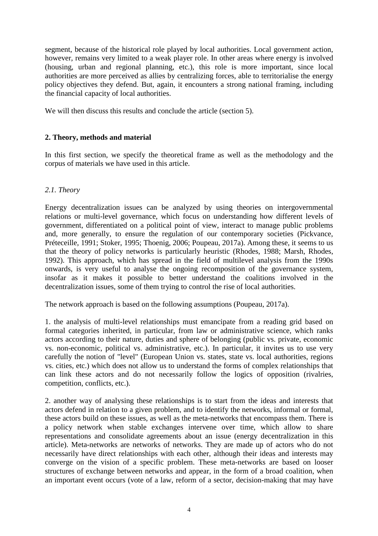segment, because of the historical role played by local authorities. Local government action, however, remains very limited to a weak player role. In other areas where energy is involved (housing, urban and regional planning, etc.), this role is more important, since local authorities are more perceived as allies by centralizing forces, able to territorialise the energy policy objectives they defend. But, again, it encounters a strong national framing, including the financial capacity of local authorities.

We will then discuss this results and conclude the article (section 5).

# **2. Theory, methods and material**

In this first section, we specify the theoretical frame as well as the methodology and the corpus of materials we have used in this article.

#### *2.1. Theory*

Energy decentralization issues can be analyzed by using theories on intergovernmental relations or multi-level governance, which focus on understanding how different levels of government, differentiated on a political point of view, interact to manage public problems and, more generally, to ensure the regulation of our contemporary societies (Pickvance, Préteceille, 1991; Stoker, 1995; Thoenig, 2006; Poupeau, 2017a). Among these, it seems to us that the theory of policy networks is particularly heuristic (Rhodes, 1988; Marsh, Rhodes, 1992). This approach, which has spread in the field of multilevel analysis from the 1990s onwards, is very useful to analyse the ongoing recomposition of the governance system, insofar as it makes it possible to better understand the coalitions involved in the decentralization issues, some of them trying to control the rise of local authorities.

The network approach is based on the following assumptions (Poupeau, 2017a).

1. the analysis of multi-level relationships must emancipate from a reading grid based on formal categories inherited, in particular, from law or administrative science, which ranks actors according to their nature, duties and sphere of belonging (public vs. private, economic vs. non-economic, political vs. administrative, etc.). In particular, it invites us to use very carefully the notion of "level" (European Union vs. states, state vs. local authorities, regions vs. cities, etc.) which does not allow us to understand the forms of complex relationships that can link these actors and do not necessarily follow the logics of opposition (rivalries, competition, conflicts, etc.).

2. another way of analysing these relationships is to start from the ideas and interests that actors defend in relation to a given problem, and to identify the networks, informal or formal, these actors build on these issues, as well as the meta-networks that encompass them. There is a policy network when stable exchanges intervene over time, which allow to share representations and consolidate agreements about an issue (energy decentralization in this article). Meta-networks are networks of networks. They are made up of actors who do not necessarily have direct relationships with each other, although their ideas and interests may converge on the vision of a specific problem. These meta-networks are based on looser structures of exchange between networks and appear, in the form of a broad coalition, when an important event occurs (vote of a law, reform of a sector, decision-making that may have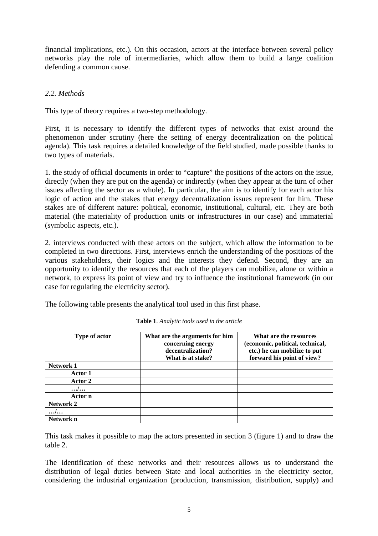financial implications, etc.). On this occasion, actors at the interface between several policy networks play the role of intermediaries, which allow them to build a large coalition defending a common cause.

# *2.2. Methods*

This type of theory requires a two-step methodology.

First, it is necessary to identify the different types of networks that exist around the phenomenon under scrutiny (here the setting of energy decentralization on the political agenda). This task requires a detailed knowledge of the field studied, made possible thanks to two types of materials.

1. the study of official documents in order to "capture" the positions of the actors on the issue, directly (when they are put on the agenda) or indirectly (when they appear at the turn of other issues affecting the sector as a whole). In particular, the aim is to identify for each actor his logic of action and the stakes that energy decentralization issues represent for him. These stakes are of different nature: political, economic, institutional, cultural, etc. They are both material (the materiality of production units or infrastructures in our case) and immaterial (symbolic aspects, etc.).

2. interviews conducted with these actors on the subject, which allow the information to be completed in two directions. First, interviews enrich the understanding of the positions of the various stakeholders, their logics and the interests they defend. Second, they are an opportunity to identify the resources that each of the players can mobilize, alone or within a network, to express its point of view and try to influence the institutional framework (in our case for regulating the electricity sector).

The following table presents the analytical tool used in this first phase.

| Type of actor | What are the arguments for him | What are the resources           |
|---------------|--------------------------------|----------------------------------|
|               | concerning energy              | (economic, political, technical, |
|               | decentralization?              | etc.) he can mobilize to put     |
|               | What is at stake?              | forward his point of view?       |
| Network 1     |                                |                                  |
| Actor 1       |                                |                                  |
| Actor 2       |                                |                                  |
| /             |                                |                                  |
| Actor n       |                                |                                  |
| Network 2     |                                |                                  |
| /             |                                |                                  |
| Network n     |                                |                                  |

| Table 1. Analytic tools used in the article |  |  |
|---------------------------------------------|--|--|
|---------------------------------------------|--|--|

This task makes it possible to map the actors presented in section 3 (figure 1) and to draw the table 2.

The identification of these networks and their resources allows us to understand the distribution of legal duties between State and local authorities in the electricity sector, considering the industrial organization (production, transmission, distribution, supply) and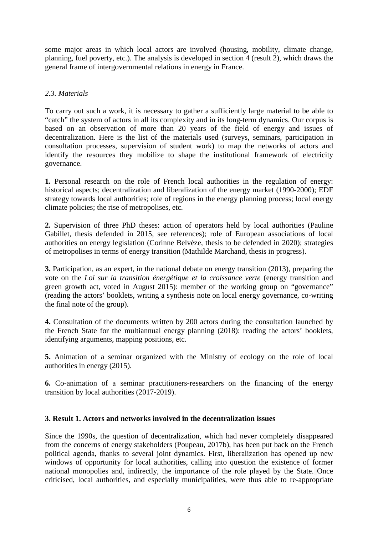some major areas in which local actors are involved (housing, mobility, climate change, planning, fuel poverty, etc.). The analysis is developed in section 4 (result 2), which draws the general frame of intergovernmental relations in energy in France.

# *2.3. Materials*

To carry out such a work, it is necessary to gather a sufficiently large material to be able to "catch" the system of actors in all its complexity and in its long-term dynamics. Our corpus is based on an observation of more than 20 years of the field of energy and issues of decentralization. Here is the list of the materials used (surveys, seminars, participation in consultation processes, supervision of student work) to map the networks of actors and identify the resources they mobilize to shape the institutional framework of electricity governance.

**1.** Personal research on the role of French local authorities in the regulation of energy: historical aspects; decentralization and liberalization of the energy market (1990-2000); EDF strategy towards local authorities; role of regions in the energy planning process; local energy climate policies; the rise of metropolises, etc.

**2.** Supervision of three PhD theses: action of operators held by local authorities (Pauline Gabillet, thesis defended in 2015, see references); role of European associations of local authorities on energy legislation (Corinne Belvèze, thesis to be defended in 2020); strategies of metropolises in terms of energy transition (Mathilde Marchand, thesis in progress).

**3.** Participation, as an expert, in the national debate on energy transition (2013), preparing the vote on the *Loi sur la transition énergétique et la croissance verte* (energy transition and green growth act, voted in August 2015): member of the working group on "governance" (reading the actors' booklets, writing a synthesis note on local energy governance, co-writing the final note of the group).

**4.** Consultation of the documents written by 200 actors during the consultation launched by the French State for the multiannual energy planning (2018): reading the actors' booklets, identifying arguments, mapping positions, etc.

**5.** Animation of a seminar organized with the Ministry of ecology on the role of local authorities in energy (2015).

**6.** Co-animation of a seminar practitioners-researchers on the financing of the energy transition by local authorities (2017-2019).

# **3. Result 1. Actors and networks involved in the decentralization issues**

Since the 1990s, the question of decentralization, which had never completely disappeared from the concerns of energy stakeholders (Poupeau, 2017b), has been put back on the French political agenda, thanks to several joint dynamics. First, liberalization has opened up new windows of opportunity for local authorities, calling into question the existence of former national monopolies and, indirectly, the importance of the role played by the State. Once criticised, local authorities, and especially municipalities, were thus able to re-appropriate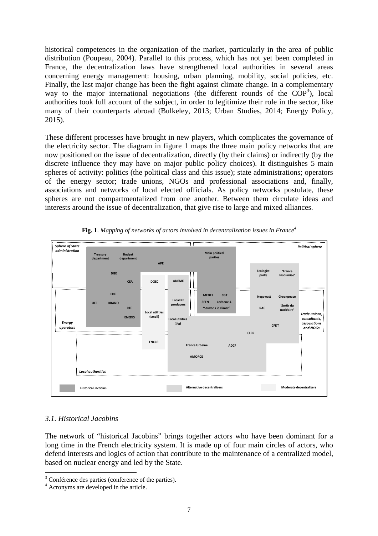historical competences in the organization of the market, particularly in the area of public distribution (Poupeau, 2004). Parallel to this process, which has not yet been completed in France, the decentralization laws have strengthened local authorities in several areas concerning energy management: housing, urban planning, mobility, social policies, etc. Finally, the last major change has been the fight against climate change. In a complementary way to the major international negotiations (the different rounds of the COP<sup>3</sup>), local authorities took full account of the subject, in order to legitimize their role in the sector, like many of their counterparts abroad (Bulkeley, 2013; Urban Studies, 2014; Energy Policy, 2015).

These different processes have brought in new players, which complicates the governance of the electricity sector. The diagram in figure 1 maps the three main policy networks that are now positioned on the issue of decentralization, directly (by their claims) or indirectly (by the discrete influence they may have on major public policy choices). It distinguishes 5 main spheres of activity: politics (the political class and this issue); state administrations; operators of the energy sector; trade unions, NGOs and professional associations and, finally, associations and networks of local elected officials. As policy networks postulate, these spheres are not compartmentalized from one another. Between them circulate ideas and interests around the issue of decentralization, that give rise to large and mixed alliances.



**Fig. 1**. *Mapping of networks of actors involved in decentralization issues in France<sup>4</sup>*

# *3.1. Historical Jacobins*

l

The network of "historical Jacobins" brings together actors who have been dominant for a long time in the French electricity system. It is made up of four main circles of actors, who defend interests and logics of action that contribute to the maintenance of a centralized model, based on nuclear energy and led by the State.

<sup>&</sup>lt;sup>3</sup> Conférence des parties (conference of the parties).

<sup>4</sup> Acronyms are developed in the article.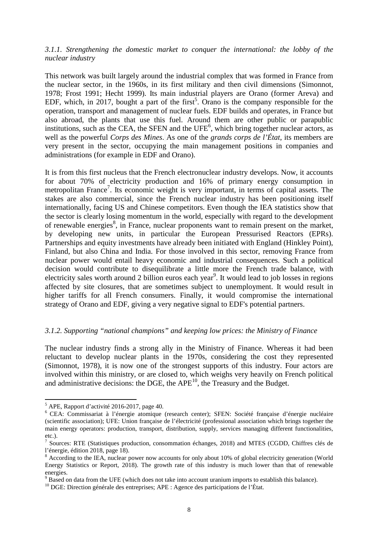#### *3.1.1. Strengthening the domestic market to conquer the international: the lobby of the nuclear industry*

This network was built largely around the industrial complex that was formed in France from the nuclear sector, in the 1960s, in its first military and then civil dimensions (Simonnot, 1978; Frost 1991; Hecht 1999). Its main industrial players are Orano (former Areva) and EDF, which, in 2017, bought a part of the first<sup>5</sup>. Orano is the company responsible for the operation, transport and management of nuclear fuels. EDF builds and operates, in France but also abroad, the plants that use this fuel. Around them are other public or parapublic institutions, such as the CEA, the SFEN and the  $UFE^6$ , which bring together nuclear actors, as well as the powerful *Corps des Mines*. As one of the *grands corps de l'État*, its members are very present in the sector, occupying the main management positions in companies and administrations (for example in EDF and Orano).

It is from this first nucleus that the French electronuclear industry develops. Now, it accounts for about 70% of electricity production and 16% of primary energy consumption in metropolitan France<sup>7</sup>. Its economic weight is very important, in terms of capital assets. The stakes are also commercial, since the French nuclear industry has been positioning itself internationally, facing US and Chinese competitors. Even though the IEA statistics show that the sector is clearly losing momentum in the world, especially with regard to the development of renewable energies<sup>8</sup>, in France, nuclear proponents want to remain present on the market, by developing new units, in particular the European Pressurised Reactors (EPRs). Partnerships and equity investments have already been initiated with England (Hinkley Point), Finland, but also China and India. For those involved in this sector, removing France from nuclear power would entail heavy economic and industrial consequences. Such a political decision would contribute to disequilibrate a little more the French trade balance, with electricity sales worth around 2 billion euros each year<sup>9</sup>. It would lead to job losses in regions affected by site closures, that are sometimes subject to unemployment. It would result in higher tariffs for all French consumers. Finally, it would compromise the international strategy of Orano and EDF, giving a very negative signal to EDF's potential partners.

#### *3.1.2. Supporting "national champions" and keeping low prices: the Ministry of Finance*

The nuclear industry finds a strong ally in the Ministry of Finance. Whereas it had been reluctant to develop nuclear plants in the 1970s, considering the cost they represented (Simonnot, 1978), it is now one of the strongest supports of this industry. Four actors are involved within this ministry, or are closed to, which weighs very heavily on French political and administrative decisions: the DGE, the  $APE<sup>10</sup>$ , the Treasury and the Budget.

<sup>5</sup> APE, Rapport d'activité 2016-2017, page 40.

<sup>&</sup>lt;sup>6</sup> CEA: Commissariat à l'énergie atomique (research center); SFEN: Société française d'énergie nucléaire (scientific association); UFE: Union française de l'électricité (professional association which brings together the main energy operators: production, transport, distribution, supply, services managing different functionalities, etc.).

<sup>7</sup> Sources: RTE (Statistiques production, consommation échanges, 2018) and MTES (CGDD, Chiffres clés de l'énergie, édition 2018, page 18).

<sup>&</sup>lt;sup>8</sup> According to the IEA, nuclear power now accounts for only about 10% of global electricity generation (World Energy Statistics or Report, 2018). The growth rate of this industry is much lower than that of renewable energies.

<sup>&</sup>lt;sup>9</sup> Based on data from the UFE (which does not take into account uranium imports to establish this balance).

 $10$  DGE: Direction générale des entreprises; APE : Agence des participations de l'État.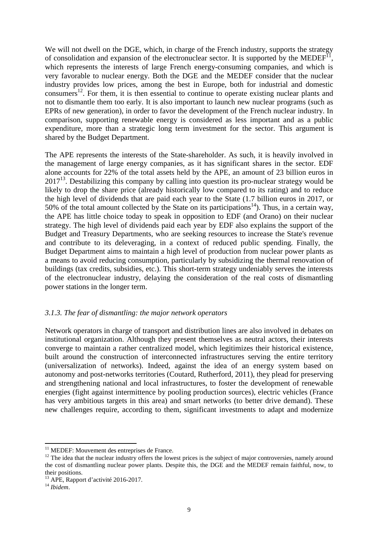We will not dwell on the DGE, which, in charge of the French industry, supports the strategy of consolidation and expansion of the electronuclear sector. It is supported by the MEDEF<sup>11</sup> , which represents the interests of large French energy-consuming companies, and which is very favorable to nuclear energy. Both the DGE and the MEDEF consider that the nuclear industry provides low prices, among the best in Europe, both for industrial and domestic consumers<sup>12</sup>. For them, it is then essential to continue to operate existing nuclear plants and not to dismantle them too early. It is also important to launch new nuclear programs (such as EPRs of new generation), in order to favor the development of the French nuclear industry. In comparison, supporting renewable energy is considered as less important and as a public expenditure, more than a strategic long term investment for the sector. This argument is shared by the Budget Department.

The APE represents the interests of the State-shareholder. As such, it is heavily involved in the management of large energy companies, as it has significant shares in the sector. EDF alone accounts for 22% of the total assets held by the APE, an amount of 23 billion euros in  $2017<sup>13</sup>$ . Destabilizing this company by calling into question its pro-nuclear strategy would be likely to drop the share price (already historically low compared to its rating) and to reduce the high level of dividends that are paid each year to the State (1.7 billion euros in 2017, or 50% of the total amount collected by the State on its participations<sup>14</sup>). Thus, in a certain way, the APE has little choice today to speak in opposition to EDF (and Orano) on their nuclear strategy. The high level of dividends paid each year by EDF also explains the support of the Budget and Treasury Departments, who are seeking resources to increase the State's revenue and contribute to its deleveraging, in a context of reduced public spending. Finally, the Budget Department aims to maintain a high level of production from nuclear power plants as a means to avoid reducing consumption, particularly by subsidizing the thermal renovation of buildings (tax credits, subsidies, etc.). This short-term strategy undeniably serves the interests of the electronuclear industry, delaying the consideration of the real costs of dismantling power stations in the longer term.

#### *3.1.3. The fear of dismantling: the major network operators*

Network operators in charge of transport and distribution lines are also involved in debates on institutional organization. Although they present themselves as neutral actors, their interests converge to maintain a rather centralized model, which legitimizes their historical existence, built around the construction of interconnected infrastructures serving the entire territory (universalization of networks). Indeed, against the idea of an energy system based on autonomy and post-networks territories (Coutard, Rutherford, 2011), they plead for preserving and strengthening national and local infrastructures, to foster the development of renewable energies (fight against intermittence by pooling production sources), electric vehicles (France has very ambitious targets in this area) and smart networks (to better drive demand). These new challenges require, according to them, significant investments to adapt and modernize

<sup>&</sup>lt;sup>11</sup> MEDEF: Mouvement des entreprises de France.

 $12$  The idea that the nuclear industry offers the lowest prices is the subject of major controversies, namely around the cost of dismantling nuclear power plants. Despite this, the DGE and the MEDEF remain faithful, now, to their positions.

<sup>&</sup>lt;sup>13</sup> APE, Rapport d'activité 2016-2017.

<sup>14</sup> *Ibidem*.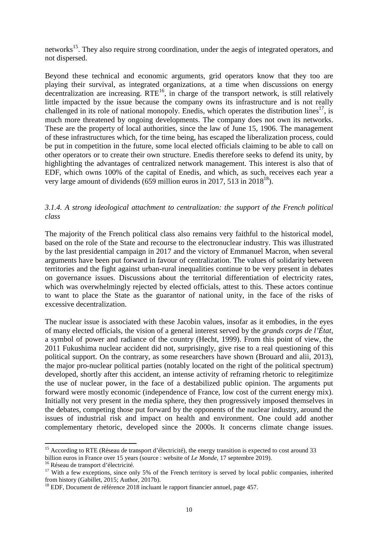networks<sup>15</sup>. They also require strong coordination, under the aegis of integrated operators, and not dispersed.

Beyond these technical and economic arguments, grid operators know that they too are playing their survival, as integrated organizations, at a time when discussions on energy decentralization are increasing.  $RTE^{16}$ , in charge of the transport network, is still relatively little impacted by the issue because the company owns its infrastructure and is not really challenged in its role of national monopoly. Enedis, which operates the distribution lines<sup>17</sup>, is much more threatened by ongoing developments. The company does not own its networks. These are the property of local authorities, since the law of June 15, 1906. The management of these infrastructures which, for the time being, has escaped the liberalization process, could be put in competition in the future, some local elected officials claiming to be able to call on other operators or to create their own structure. Enedis therefore seeks to defend its unity, by highlighting the advantages of centralized network management. This interest is also that of EDF, which owns 100% of the capital of Enedis, and which, as such, receives each year a very large amount of dividends (659 million euros in 2017, 513 in  $2018^{18}$ ).

# *3.1.4. A strong ideological attachment to centralization: the support of the French political class*

The majority of the French political class also remains very faithful to the historical model, based on the role of the State and recourse to the electronuclear industry. This was illustrated by the last presidential campaign in 2017 and the victory of Emmanuel Macron, when several arguments have been put forward in favour of centralization. The values of solidarity between territories and the fight against urban-rural inequalities continue to be very present in debates on governance issues. Discussions about the territorial differentiation of electricity rates, which was overwhelmingly rejected by elected officials, attest to this. These actors continue to want to place the State as the guarantor of national unity, in the face of the risks of excessive decentralization.

The nuclear issue is associated with these Jacobin values, insofar as it embodies, in the eyes of many elected officials, the vision of a general interest served by the *grands corps de l'État*, a symbol of power and radiance of the country (Hecht, 1999). From this point of view, the 2011 Fukushima nuclear accident did not, surprisingly, give rise to a real questioning of this political support. On the contrary, as some researchers have shown (Brouard and alii, 2013), the major pro-nuclear political parties (notably located on the right of the political spectrum) developed, shortly after this accident, an intense activity of reframing rhetoric to relegitimize the use of nuclear power, in the face of a destabilized public opinion. The arguments put forward were mostly economic (independence of France, low cost of the current energy mix). Initially not very present in the media sphere, they then progressively imposed themselves in the debates, competing those put forward by the opponents of the nuclear industry, around the issues of industrial risk and impact on health and environment. One could add another complementary rhetoric, developed since the 2000s. It concerns climate change issues.

<sup>16</sup> Réseau de transport d'électricité.

<sup>&</sup>lt;sup>15</sup> According to RTE (Réseau de transport d'électricité), the energy transition is expected to cost around 33

billion euros in France over 15 years (source : website of *Le Monde*, 17 septembre 2019).

<sup>&</sup>lt;sup>17</sup> With a few exceptions, since only 5% of the French territory is served by local public companies, inherited from history (Gabillet, 2015; Author, 2017b).

<sup>&</sup>lt;sup>18</sup> EDF, Document de référence 2018 incluant le rapport financier annuel, page 457.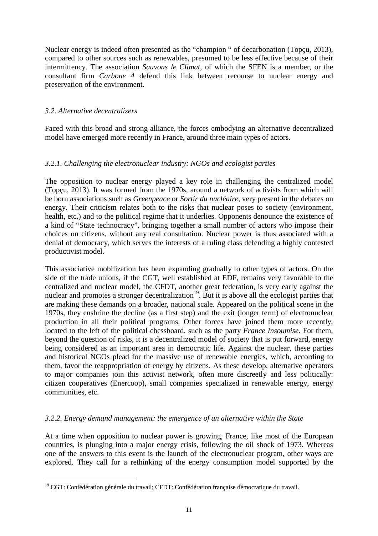Nuclear energy is indeed often presented as the "champion " of decarbonation (Topçu, 2013), compared to other sources such as renewables, presumed to be less effective because of their intermittency. The association *Sauvons le Climat*, of which the SFEN is a member, or the consultant firm *Carbone 4* defend this link between recourse to nuclear energy and preservation of the environment.

# *3.2. Alternative decentralizers*

 $\overline{a}$ 

Faced with this broad and strong alliance, the forces embodying an alternative decentralized model have emerged more recently in France, around three main types of actors.

#### *3.2.1. Challenging the electronuclear industry: NGOs and ecologist parties*

The opposition to nuclear energy played a key role in challenging the centralized model (Topçu, 2013). It was formed from the 1970s, around a network of activists from which will be born associations such as *Greenpeace* or *Sortir du nucléaire*, very present in the debates on energy. Their criticism relates both to the risks that nuclear poses to society (environment, health, etc.) and to the political regime that it underlies. Opponents denounce the existence of a kind of "State technocracy", bringing together a small number of actors who impose their choices on citizens, without any real consultation. Nuclear power is thus associated with a denial of democracy, which serves the interests of a ruling class defending a highly contested productivist model.

This associative mobilization has been expanding gradually to other types of actors. On the side of the trade unions, if the CGT, well established at EDF, remains very favorable to the centralized and nuclear model, the CFDT, another great federation, is very early against the nuclear and promotes a stronger decentralization<sup>19</sup>. But it is above all the ecologist parties that are making these demands on a broader, national scale. Appeared on the political scene in the 1970s, they enshrine the decline (as a first step) and the exit (longer term) of electronuclear production in all their political programs. Other forces have joined them more recently, located to the left of the political chessboard, such as the party *France Insoumise*. For them, beyond the question of risks, it is a decentralized model of society that is put forward, energy being considered as an important area in democratic life. Against the nuclear, these parties and historical NGOs plead for the massive use of renewable energies, which, according to them, favor the reappropriation of energy by citizens. As these develop, alternative operators to major companies join this activist network, often more discreetly and less politically: citizen cooperatives (Enercoop), small companies specialized in renewable energy, energy communities, etc.

#### *3.2.2. Energy demand management: the emergence of an alternative within the State*

At a time when opposition to nuclear power is growing, France, like most of the European countries, is plunging into a major energy crisis, following the oil shock of 1973. Whereas one of the answers to this event is the launch of the electronuclear program, other ways are explored. They call for a rethinking of the energy consumption model supported by the

<sup>&</sup>lt;sup>19</sup> CGT: Confédération générale du travail; CFDT: Confédération française démocratique du travail.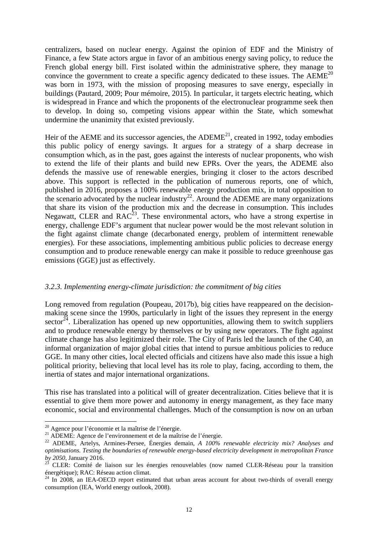centralizers, based on nuclear energy. Against the opinion of EDF and the Ministry of Finance, a few State actors argue in favor of an ambitious energy saving policy, to reduce the French global energy bill. First isolated within the administrative sphere, they manage to convince the government to create a specific agency dedicated to these issues. The  $AEME^{20}$ was born in 1973, with the mission of proposing measures to save energy, especially in buildings (Pautard, 2009; Pour mémoire, 2015). In particular, it targets electric heating, which is widespread in France and which the proponents of the electronuclear programme seek then to develop. In doing so, competing visions appear within the State, which somewhat undermine the unanimity that existed previously.

Heir of the AEME and its successor agencies, the  $ADEME^{21}$ , created in 1992, today embodies this public policy of energy savings. It argues for a strategy of a sharp decrease in consumption which, as in the past, goes against the interests of nuclear proponents, who wish to extend the life of their plants and build new EPRs. Over the years, the ADEME also defends the massive use of renewable energies, bringing it closer to the actors described above. This support is reflected in the publication of numerous reports, one of which, published in 2016, proposes a 100% renewable energy production mix, in total opposition to the scenario advocated by the nuclear industry<sup>22</sup>. Around the ADEME are many organizations that share its vision of the production mix and the decrease in consumption. This includes Negawatt, CLER and  $RAC^{23}$ . These environmental actors, who have a strong expertise in energy, challenge EDF's argument that nuclear power would be the most relevant solution in the fight against climate change (decarbonated energy, problem of intermittent renewable energies). For these associations, implementing ambitious public policies to decrease energy consumption and to produce renewable energy can make it possible to reduce greenhouse gas emissions (GGE) just as effectively.

#### *3.2.3. Implementing energy-climate jurisdiction: the commitment of big cities*

Long removed from regulation (Poupeau, 2017b), big cities have reappeared on the decisionmaking scene since the 1990s, particularly in light of the issues they represent in the energy sector<sup>24</sup>. Liberalization has opened up new opportunities, allowing them to switch suppliers and to produce renewable energy by themselves or by using new operators. The fight against climate change has also legitimized their role. The City of Paris led the launch of the C40, an informal organization of major global cities that intend to pursue ambitious policies to reduce GGE. In many other cities, local elected officials and citizens have also made this issue a high political priority, believing that local level has its role to play, facing, according to them, the inertia of states and major international organizations.

This rise has translated into a political will of greater decentralization. Cities believe that it is essential to give them more power and autonomy in energy management, as they face many economic, social and environmental challenges. Much of the consumption is now on an urban

l

<sup>20</sup> Agence pour l'économie et la maîtrise de l'énergie.

<sup>&</sup>lt;sup>21</sup> ADEME: Agence de l'environnement et de la maîtrise de l'énergie.

<sup>22</sup> ADEME, Artelys, Armines-Persee, Énergies demain, *A 100% renewable electricity mix? Analyses and optimisations. Testing the boundaries of renewable energy-based electricity development in metropolitan France by 2050*, January 2016.

<sup>23</sup> CLER: Comité de liaison sur les énergies renouvelables (now named CLER-Réseau pour la transition énergétique); RAC: Réseau action climat.

<sup>&</sup>lt;sup>24</sup> In 2008, an IEA-OECD report estimated that urban areas account for about two-thirds of overall energy consumption (IEA, World energy outlook, 2008).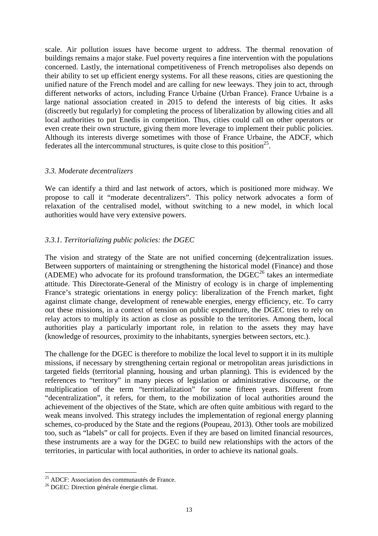scale. Air pollution issues have become urgent to address. The thermal renovation of buildings remains a major stake. Fuel poverty requires a fine intervention with the populations concerned. Lastly, the international competitiveness of French metropolises also depends on their ability to set up efficient energy systems. For all these reasons, cities are questioning the unified nature of the French model and are calling for new leeways. They join to act, through different networks of actors, including France Urbaine (Urban France). France Urbaine is a large national association created in 2015 to defend the interests of big cities. It asks (discreetly but regularly) for completing the process of liberalization by allowing cities and all local authorities to put Enedis in competition. Thus, cities could call on other operators or even create their own structure, giving them more leverage to implement their public policies. Although its interests diverge sometimes with those of France Urbaine, the ADCF, which federates all the intercommunal structures, is quite close to this position<sup>25</sup>.

#### *3.3. Moderate decentralizers*

We can identify a third and last network of actors, which is positioned more midway. We propose to call it "moderate decentralizers". This policy network advocates a form of relaxation of the centralised model, without switching to a new model, in which local authorities would have very extensive powers.

#### *3.3.1. Territorializing public policies: the DGEC*

The vision and strategy of the State are not unified concerning (de)centralization issues. Between supporters of maintaining or strengthening the historical model (Finance) and those (ADEME) who advocate for its profound transformation, the  $DGEC^{26}$  takes an intermediate attitude. This Directorate-General of the Ministry of ecology is in charge of implementing France's strategic orientations in energy policy: liberalization of the French market, fight against climate change, development of renewable energies, energy efficiency, etc. To carry out these missions, in a context of tension on public expenditure, the DGEC tries to rely on relay actors to multiply its action as close as possible to the territories. Among them, local authorities play a particularly important role, in relation to the assets they may have (knowledge of resources, proximity to the inhabitants, synergies between sectors, etc.).

The challenge for the DGEC is therefore to mobilize the local level to support it in its multiple missions, if necessary by strengthening certain regional or metropolitan areas jurisdictions in targeted fields (territorial planning, housing and urban planning). This is evidenced by the references to "territory" in many pieces of legislation or administrative discourse, or the multiplication of the term "territorialization" for some fifteen years. Different from "decentralization", it refers, for them, to the mobilization of local authorities around the achievement of the objectives of the State, which are often quite ambitious with regard to the weak means involved. This strategy includes the implementation of regional energy planning schemes, co-produced by the State and the regions (Poupeau, 2013). Other tools are mobilized too, such as "labels" or call for projects. Even if they are based on limited financial resources, these instruments are a way for the DGEC to build new relationships with the actors of the territories, in particular with local authorities, in order to achieve its national goals.

l

<sup>&</sup>lt;sup>25</sup> ADCF: Association des communautés de France.

<sup>&</sup>lt;sup>26</sup> DGEC: Direction générale énergie climat.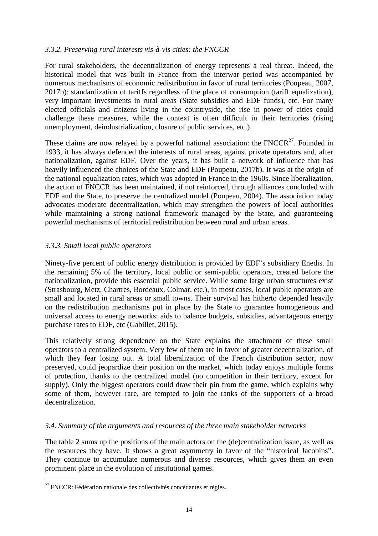#### *3.3.2. Preserving rural interests vis-à-vis cities: the FNCCR*

For rural stakeholders, the decentralization of energy represents a real threat. Indeed, the historical model that was built in France from the interwar period was accompanied by numerous mechanisms of economic redistribution in favor of rural territories (Poupeau, 2007, 2017b): standardization of tariffs regardless of the place of consumption (tariff equalization), very important investments in rural areas (State subsidies and EDF funds), etc. For many elected officials and citizens living in the countryside, the rise in power of cities could challenge these measures, while the context is often difficult in their territories (rising unemployment, deindustrialization, closure of public services, etc.).

These claims are now relayed by a powerful national association: the  $FNCCR^{27}$ . Founded in 1933, it has always defended the interests of rural areas, against private operators and, after nationalization, against EDF. Over the years, it has built a network of influence that has heavily influenced the choices of the State and EDF (Poupeau, 2017b). It was at the origin of the national equalization rates, which was adopted in France in the 1960s. Since liberalization, the action of FNCCR has been maintained, if not reinforced, through alliances concluded with EDF and the State, to preserve the centralized model (Poupeau, 2004). The association today advocates moderate decentralization, which may strengthen the powers of local authorities while maintaining a strong national framework managed by the State, and guaranteeing powerful mechanisms of territorial redistribution between rural and urban areas.

#### *3.3.3. Small local public operators*

Ninety-five percent of public energy distribution is provided by EDF's subsidiary Enedis. In the remaining 5% of the territory, local public or semi-public operators, created before the nationalization, provide this essential public service. While some large urban structures exist (Strasbourg, Metz, Chartres, Bordeaux, Colmar, etc.), in most cases, local public operators are small and located in rural areas or small towns. Their survival has hitherto depended heavily on the redistribution mechanisms put in place by the State to guarantee homogeneous and universal access to energy networks: aids to balance budgets, subsidies, advantageous energy purchase rates to EDF, etc (Gabillet, 2015).

This relatively strong dependence on the State explains the attachment of these small operators to a centralized system. Very few of them are in favor of greater decentralization, of which they fear losing out. A total liberalization of the French distribution sector, now preserved, could jeopardize their position on the market, which today enjoys multiple forms of protection, thanks to the centralized model (no competition in their territory, except for supply). Only the biggest operators could draw their pin from the game, which explains why some of them, however rare, are tempted to join the ranks of the supporters of a broad decentralization.

# *3.4. Summary of the arguments and resources of the three main stakeholder networks*

The table 2 sums up the positions of the main actors on the (de)centralization issue, as well as the resources they have. It shows a great asymmetry in favor of the "historical Jacobins". They continue to accumulate numerous and diverse resources, which gives them an even prominent place in the evolution of institutional games.

 $27$  FNCCR: Fédération nationale des collectivités concédantes et régies.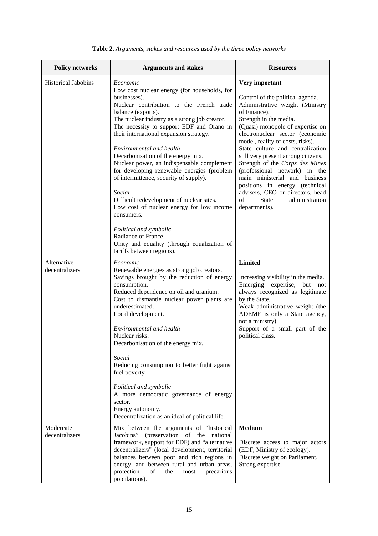| <b>Policy networks</b>        | <b>Arguments and stakes</b>                                                                                                                                                                                                                                                                                                                                                                                                                                                                                                                                                                                                             | <b>Resources</b>                                                                                                                                                                                                                                                                                                                                                                                                                                                                                                                                         |  |  |
|-------------------------------|-----------------------------------------------------------------------------------------------------------------------------------------------------------------------------------------------------------------------------------------------------------------------------------------------------------------------------------------------------------------------------------------------------------------------------------------------------------------------------------------------------------------------------------------------------------------------------------------------------------------------------------------|----------------------------------------------------------------------------------------------------------------------------------------------------------------------------------------------------------------------------------------------------------------------------------------------------------------------------------------------------------------------------------------------------------------------------------------------------------------------------------------------------------------------------------------------------------|--|--|
| <b>Historical Jabobins</b>    | Economic<br>Low cost nuclear energy (for households, for<br>businesses).<br>Nuclear contribution to the French trade<br>balance (exports).<br>The nuclear industry as a strong job creator.<br>The necessity to support EDF and Orano in<br>their international expansion strategy.<br>Environmental and health<br>Decarbonisation of the energy mix.<br>Nuclear power, an indispensable complement<br>for developing renewable energies (problem<br>of intermittence, security of supply).<br>Social<br>Difficult redevelopment of nuclear sites.<br>Low cost of nuclear energy for low income<br>consumers.<br>Political and symbolic | Very important<br>Control of the political agenda.<br>Administrative weight (Ministry<br>of Finance).<br>Strength in the media.<br>(Quasi) monopole of expertise on<br>electronuclear sector (economic<br>model, reality of costs, risks).<br>State culture and centralization<br>still very present among citizens.<br>Strength of the Corps des Mines<br>(professional network) in the<br>main ministerial and business<br>positions in energy (technical<br>advisers, CEO or directors, head<br>administration<br>of<br><b>State</b><br>departments). |  |  |
|                               | Radiance of France.<br>Unity and equality (through equalization of<br>tariffs between regions).                                                                                                                                                                                                                                                                                                                                                                                                                                                                                                                                         |                                                                                                                                                                                                                                                                                                                                                                                                                                                                                                                                                          |  |  |
| Alternative<br>decentralizers | Economic<br>Renewable energies as strong job creators.<br>Savings brought by the reduction of energy<br>consumption.<br>Reduced dependence on oil and uranium.<br>Cost to dismantle nuclear power plants are<br>underestimated.<br>Local development.<br>Environmental and health<br>Nuclear risks.<br>Decarbonisation of the energy mix.                                                                                                                                                                                                                                                                                               | <b>Limited</b><br>Increasing visibility in the media.<br>Emerging expertise, but<br>not<br>always recognized as legitimate<br>by the State.<br>Weak administrative weight (the<br>ADEME is only a State agency,<br>not a ministry).<br>Support of a small part of the<br>political class.                                                                                                                                                                                                                                                                |  |  |
|                               | Social<br>Reducing consumption to better fight against<br>fuel poverty.<br>Political and symbolic<br>A more democratic governance of energy<br>sector.<br>Energy autonomy.<br>Decentralization as an ideal of political life.                                                                                                                                                                                                                                                                                                                                                                                                           |                                                                                                                                                                                                                                                                                                                                                                                                                                                                                                                                                          |  |  |
| Modereate<br>decentralizers   | Mix between the arguments of "historical"<br>(preservation of the<br>Jacobins"<br>national<br>framework, support for EDF) and "alternative<br>decentralizers" (local development, territorial<br>balances between poor and rich regions in<br>energy, and between rural and urban areas,<br>protection<br>of<br>precarious<br>the<br>most<br>populations).                                                                                                                                                                                                                                                                              | <b>Medium</b><br>Discrete access to major actors<br>(EDF, Ministry of ecology).<br>Discrete weight on Parliament.<br>Strong expertise.                                                                                                                                                                                                                                                                                                                                                                                                                   |  |  |

| Table 2. Arguments, stakes and resources used by the three policy networks |
|----------------------------------------------------------------------------|
|----------------------------------------------------------------------------|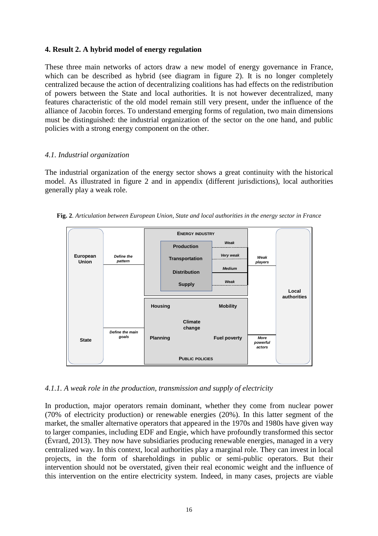# **4. Result 2. A hybrid model of energy regulation**

These three main networks of actors draw a new model of energy governance in France, which can be described as hybrid (see diagram in figure 2). It is no longer completely centralized because the action of decentralizing coalitions has had effects on the redistribution of powers between the State and local authorities. It is not however decentralized, many features characteristic of the old model remain still very present, under the influence of the alliance of Jacobin forces. To understand emerging forms of regulation, two main dimensions must be distinguished: the industrial organization of the sector on the one hand, and public policies with a strong energy component on the other.

#### *4.1. Industrial organization*

The industrial organization of the energy sector shows a great continuity with the historical model. As illustrated in figure 2 and in appendix (different jurisdictions), local authorities generally play a weak role.





*4.1.1. A weak role in the production, transmission and supply of electricity* 

In production, major operators remain dominant, whether they come from nuclear power (70% of electricity production) or renewable energies (20%). In this latter segment of the market, the smaller alternative operators that appeared in the 1970s and 1980s have given way to larger companies, including EDF and Engie, which have profoundly transformed this sector (Évrard, 2013). They now have subsidiaries producing renewable energies, managed in a very centralized way. In this context, local authorities play a marginal role. They can invest in local projects, in the form of shareholdings in public or semi-public operators. But their intervention should not be overstated, given their real economic weight and the influence of this intervention on the entire electricity system. Indeed, in many cases, projects are viable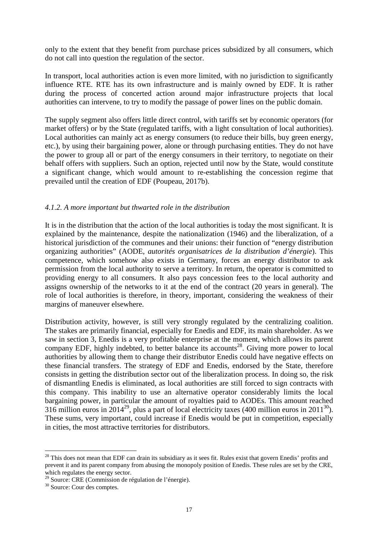only to the extent that they benefit from purchase prices subsidized by all consumers, which do not call into question the regulation of the sector.

In transport, local authorities action is even more limited, with no jurisdiction to significantly influence RTE. RTE has its own infrastructure and is mainly owned by EDF. It is rather during the process of concerted action around major infrastructure projects that local authorities can intervene, to try to modify the passage of power lines on the public domain.

The supply segment also offers little direct control, with tariffs set by economic operators (for market offers) or by the State (regulated tariffs, with a light consultation of local authorities). Local authorities can mainly act as energy consumers (to reduce their bills, buy green energy, etc.), by using their bargaining power, alone or through purchasing entities. They do not have the power to group all or part of the energy consumers in their territory, to negotiate on their behalf offers with suppliers. Such an option, rejected until now by the State, would constitute a significant change, which would amount to re-establishing the concession regime that prevailed until the creation of EDF (Poupeau, 2017b).

#### *4.1.2. A more important but thwarted role in the distribution*

It is in the distribution that the action of the local authorities is today the most significant. It is explained by the maintenance, despite the nationalization (1946) and the liberalization, of a historical jurisdiction of the communes and their unions: their function of "energy distribution organizing authorities" (AODE, *autorités organisatrices de la distribution d'énergie*). This competence, which somehow also exists in Germany, forces an energy distributor to ask permission from the local authority to serve a territory. In return, the operator is committed to providing energy to all consumers. It also pays concession fees to the local authority and assigns ownership of the networks to it at the end of the contract (20 years in general). The role of local authorities is therefore, in theory, important, considering the weakness of their margins of maneuver elsewhere.

Distribution activity, however, is still very strongly regulated by the centralizing coalition. The stakes are primarily financial, especially for Enedis and EDF, its main shareholder. As we saw in section 3, Enedis is a very profitable enterprise at the moment, which allows its parent company EDF, highly indebted, to better balance its accounts<sup>28</sup>. Giving more power to local authorities by allowing them to change their distributor Enedis could have negative effects on these financial transfers. The strategy of EDF and Enedis, endorsed by the State, therefore consists in getting the distribution sector out of the liberalization process. In doing so, the risk of dismantling Enedis is eliminated, as local authorities are still forced to sign contracts with this company. This inability to use an alternative operator considerably limits the local bargaining power, in particular the amount of royalties paid to AODEs. This amount reached 316 million euros in  $2014^{29}$ , plus a part of local electricity taxes (400 million euros in 2011<sup>30</sup>). These sums, very important, could increase if Enedis would be put in competition, especially in cities, the most attractive territories for distributors.

<sup>&</sup>lt;sup>28</sup> This does not mean that EDF can drain its subsidiary as it sees fit. Rules exist that govern Enedis' profits and prevent it and its parent company from abusing the monopoly position of Enedis. These rules are set by the CRE, which regulates the energy sector.

<sup>29</sup> Source: CRE (Commission de régulation de l'énergie).

<sup>30</sup> Source: Cour des comptes.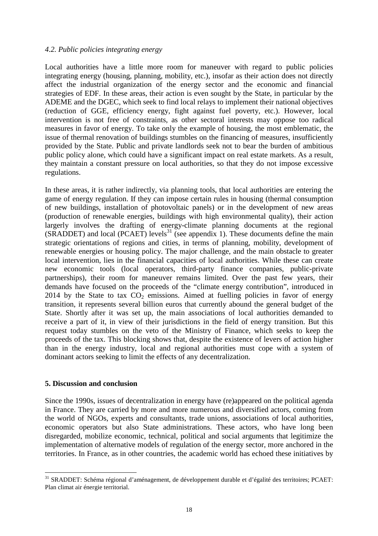#### *4.2. Public policies integrating energy*

Local authorities have a little more room for maneuver with regard to public policies integrating energy (housing, planning, mobility, etc.), insofar as their action does not directly affect the industrial organization of the energy sector and the economic and financial strategies of EDF. In these areas, their action is even sought by the State, in particular by the ADEME and the DGEC, which seek to find local relays to implement their national objectives (reduction of GGE, efficiency energy, fight against fuel poverty, etc.). However, local intervention is not free of constraints, as other sectoral interests may oppose too radical measures in favor of energy. To take only the example of housing, the most emblematic, the issue of thermal renovation of buildings stumbles on the financing of measures, insufficiently provided by the State. Public and private landlords seek not to bear the burden of ambitious public policy alone, which could have a significant impact on real estate markets. As a result, they maintain a constant pressure on local authorities, so that they do not impose excessive regulations.

In these areas, it is rather indirectly, via planning tools, that local authorities are entering the game of energy regulation. If they can impose certain rules in housing (thermal consumption of new buildings, installation of photovoltaic panels) or in the development of new areas (production of renewable energies, buildings with high environmental quality), their action largerly involves the drafting of energy-climate planning documents at the regional  $(SRADDET)$  and local (PCAET) levels<sup>31</sup> (see appendix 1). These documents define the main strategic orientations of regions and cities, in terms of planning, mobility, development of renewable energies or housing policy. The major challenge, and the main obstacle to greater local intervention, lies in the financial capacities of local authorities. While these can create new economic tools (local operators, third-party finance companies, public-private partnerships), their room for maneuver remains limited. Over the past few years, their demands have focused on the proceeds of the "climate energy contribution", introduced in 2014 by the State to tax  $CO<sub>2</sub>$  emissions. Aimed at fuelling policies in favor of energy transition, it represents several billion euros that currently abound the general budget of the State. Shortly after it was set up, the main associations of local authorities demanded to receive a part of it, in view of their jurisdictions in the field of energy transition. But this request today stumbles on the veto of the Ministry of Finance, which seeks to keep the proceeds of the tax. This blocking shows that, despite the existence of levers of action higher than in the energy industry, local and regional authorities must cope with a system of dominant actors seeking to limit the effects of any decentralization.

#### **5. Discussion and conclusion**

l

Since the 1990s, issues of decentralization in energy have (re)appeared on the political agenda in France. They are carried by more and more numerous and diversified actors, coming from the world of NGOs, experts and consultants, trade unions, associations of local authorities, economic operators but also State administrations. These actors, who have long been disregarded, mobilize economic, technical, political and social arguments that legitimize the implementation of alternative models of regulation of the energy sector, more anchored in the territories. In France, as in other countries, the academic world has echoed these initiatives by

<sup>31</sup> SRADDET: Schéma régional d'aménagement, de développement durable et d'égalité des territoires; PCAET: Plan climat air énergie territorial.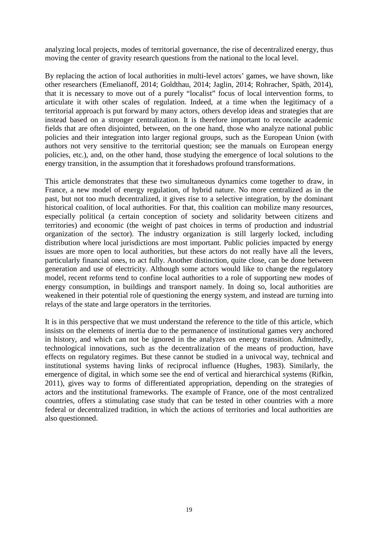analyzing local projects, modes of territorial governance, the rise of decentralized energy, thus moving the center of gravity research questions from the national to the local level.

By replacing the action of local authorities in multi-level actors' games, we have shown, like other researchers (Emelianoff, 2014; Goldthau, 2014; Jaglin, 2014; Rohracher, Späth, 2014), that it is necessary to move out of a purely "localist" focus of local intervention forms, to articulate it with other scales of regulation. Indeed, at a time when the legitimacy of a territorial approach is put forward by many actors, others develop ideas and strategies that are instead based on a stronger centralization. It is therefore important to reconcile academic fields that are often disjointed, between, on the one hand, those who analyze national public policies and their integration into larger regional groups, such as the European Union (with authors not very sensitive to the territorial question; see the manuals on European energy policies, etc.), and, on the other hand, those studying the emergence of local solutions to the energy transition, in the assumption that it foreshadows profound transformations.

This article demonstrates that these two simultaneous dynamics come together to draw, in France, a new model of energy regulation, of hybrid nature. No more centralized as in the past, but not too much decentralized, it gives rise to a selective integration, by the dominant historical coalition, of local authorities. For that, this coalition can mobilize many resources, especially political (a certain conception of society and solidarity between citizens and territories) and economic (the weight of past choices in terms of production and industrial organization of the sector). The industry organization is still largerly locked, including distribution where local jurisdictions are most important. Public policies impacted by energy issues are more open to local authorities, but these actors do not really have all the levers, particularly financial ones, to act fully. Another distinction, quite close, can be done between generation and use of electricity. Although some actors would like to change the regulatory model, recent reforms tend to confine local authorities to a role of supporting new modes of energy consumption, in buildings and transport namely. In doing so, local authorities are weakened in their potential role of questioning the energy system, and instead are turning into relays of the state and large operators in the territories.

It is in this perspective that we must understand the reference to the title of this article, which insists on the elements of inertia due to the permanence of institutional games very anchored in history, and which can not be ignored in the analyzes on energy transition. Admittedly, technological innovations, such as the decentralization of the means of production, have effects on regulatory regimes. But these cannot be studied in a univocal way, technical and institutional systems having links of reciprocal influence (Hughes, 1983). Similarly, the emergence of digital, in which some see the end of vertical and hierarchical systems (Rifkin, 2011), gives way to forms of differentiated appropriation, depending on the strategies of actors and the institutional frameworks. The example of France, one of the most centralized countries, offers a stimulating case study that can be tested in other countries with a more federal or decentralized tradition, in which the actions of territories and local authorities are also questionned.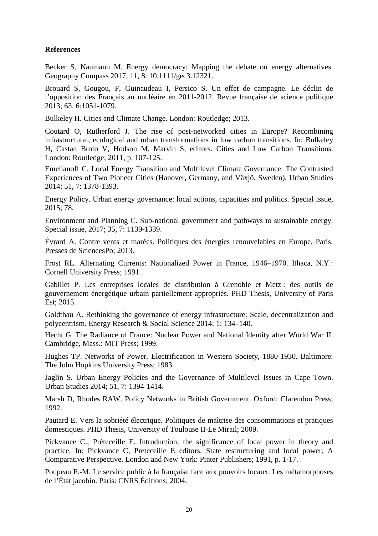### **References**

Becker S, Naumann M. Energy democracy: Mapping the debate on energy alternatives. Geography Compass 2017; 11, 8: 10.1111/gec3.12321.

Brouard S, Gougou, F, Guinaudeau I, Persico S. Un effet de campagne. Le déclin de l'opposition des Français au nucléaire en 2011-2012. Revue française de science politique 2013; 63, 6:1051-1079.

Bulkeley H. Cities and Climate Change. London: Routledge; 2013.

Coutard O, Rutherford J. The rise of post-networked cities in Europe? Recombining infrastructural, ecological and urban transformations in low carbon transitions. In: Bulkeley H, Castan Broto V, Hodson M, Marvin S, editors. Cities and Low Carbon Transitions. London: Routledge; 2011, p. 107-125.

Emelianoff C. Local Energy Transition and Multilevel Climate Governance: The Contrasted Experiences of Two Pioneer Cities (Hanover, Germany, and Växjö, Sweden). Urban Studies 2014; 51, 7: 1378-1393.

Energy Policy. Urban energy governance: local actions, capacities and politics. Special issue, 2015; 78.

Environment and Planning C. Sub-national government and pathways to sustainable energy. Special issue, 2017; 35, 7: 1139-1339.

Évrard A. Contre vents et marées. Politiques des énergies renouvelables en Europe. Paris: Presses de SciencesPo; 2013.

Frost RL. Alternating Currents: Nationalized Power in France, 1946–1970. Ithaca, N.Y.: Cornell University Press; 1991.

Gabillet P. Les entreprises locales de distribution à Grenoble et Metz : des outils de gouvernement énergétique urbain partiellement appropriés. PHD Thesis, University of Paris Est; 2015.

Goldthau A. Rethinking the governance of energy infrastructure: Scale, decentralization and polycentrism. Energy Research & Social Science 2014; 1: 134–140.

Hecht G. The Radiance of France: Nuclear Power and National Identity after World War II. Cambridge, Mass.: MIT Press; 1999.

Hughes TP. Networks of Power. Electrification in Western Society, 1880-1930. Baltimore: The John Hopkins University Press; 1983.

Jaglin S. Urban Energy Policies and the Governance of Multilevel Issues in Cape Town. Urban Studies 2014; 51, 7: 1394-1414.

Marsh D, Rhodes RAW. Policy Networks in British Government. Oxford: Clarendon Press; 1992.

Pautard E. Vers la sobriété électrique. Politiques de maîtrise des consommations et pratiques domestiques. PHD Thesis, University of Toulouse II-Le Mirail; 2009.

Pickvance C., Préteceille E. Introduction: the significance of local power in theory and practice. In: Pickvance C, Preteceille E editors. State restructuring and local power. A Comparative Perspective. London and New York: Pinter Publishers; 1991, p. 1-17.

Poupeau F.-M. Le service public à la française face aux pouvoirs locaux. Les métamorphoses de l'État jacobin. Paris: CNRS Éditions; 2004.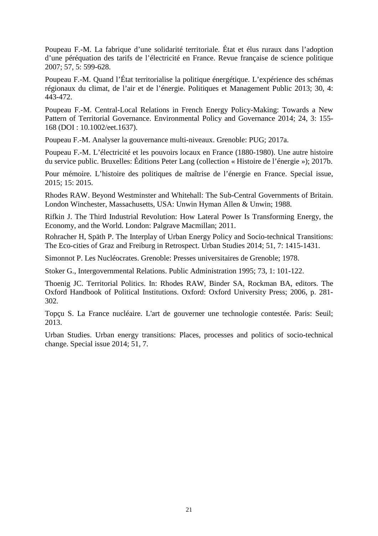Poupeau F.-M. La fabrique d'une solidarité territoriale. État et élus ruraux dans l'adoption d'une péréquation des tarifs de l'électricité en France. Revue française de science politique 2007; 57, 5: 599-628.

Poupeau F.-M. Quand l'État territorialise la politique énergétique. L'expérience des schémas régionaux du climat, de l'air et de l'énergie. Politiques et Management Public 2013; 30, 4: 443-472.

Poupeau F.-M. Central-Local Relations in French Energy Policy-Making: Towards a New Pattern of Territorial Governance. Environmental Policy and Governance 2014; 24, 3: 155- 168 (DOI : 10.1002/eet.1637).

Poupeau F.-M. Analyser la gouvernance multi-niveaux. Grenoble: PUG; 2017a.

Poupeau F.-M. L'électricité et les pouvoirs locaux en France (1880-1980). Une autre histoire du service public. Bruxelles: Éditions Peter Lang (collection « Histoire de l'énergie »); 2017b.

Pour mémoire. L'histoire des politiques de maîtrise de l'énergie en France. Special issue, 2015; 15: 2015.

Rhodes RAW. Beyond Westminster and Whitehall: The Sub-Central Governments of Britain. London Winchester, Massachusetts, USA: Unwin Hyman Allen & Unwin; 1988.

Rifkin J. The Third Industrial Revolution: How Lateral Power Is Transforming Energy, the Economy, and the World. London: Palgrave Macmillan; 2011.

Rohracher H, Späth P. The Interplay of Urban Energy Policy and Socio-technical Transitions: The Eco-cities of Graz and Freiburg in Retrospect. Urban Studies 2014; 51, 7: 1415-1431.

Simonnot P. Les Nucléocrates. Grenoble: Presses universitaires de Grenoble; 1978.

Stoker G., Intergovernmental Relations. Public Administration 1995; 73, 1: 101-122.

Thoenig JC. Territorial Politics. In: Rhodes RAW, Binder SA, Rockman BA, editors. The Oxford Handbook of Political Institutions. Oxford: Oxford University Press; 2006, p. 281- 302.

Topçu S. La France nucléaire. L'art de gouverner une technologie contestée. Paris: Seuil; 2013.

Urban Studies. Urban energy transitions: Places, processes and politics of socio-technical change. Special issue 2014; 51, 7.